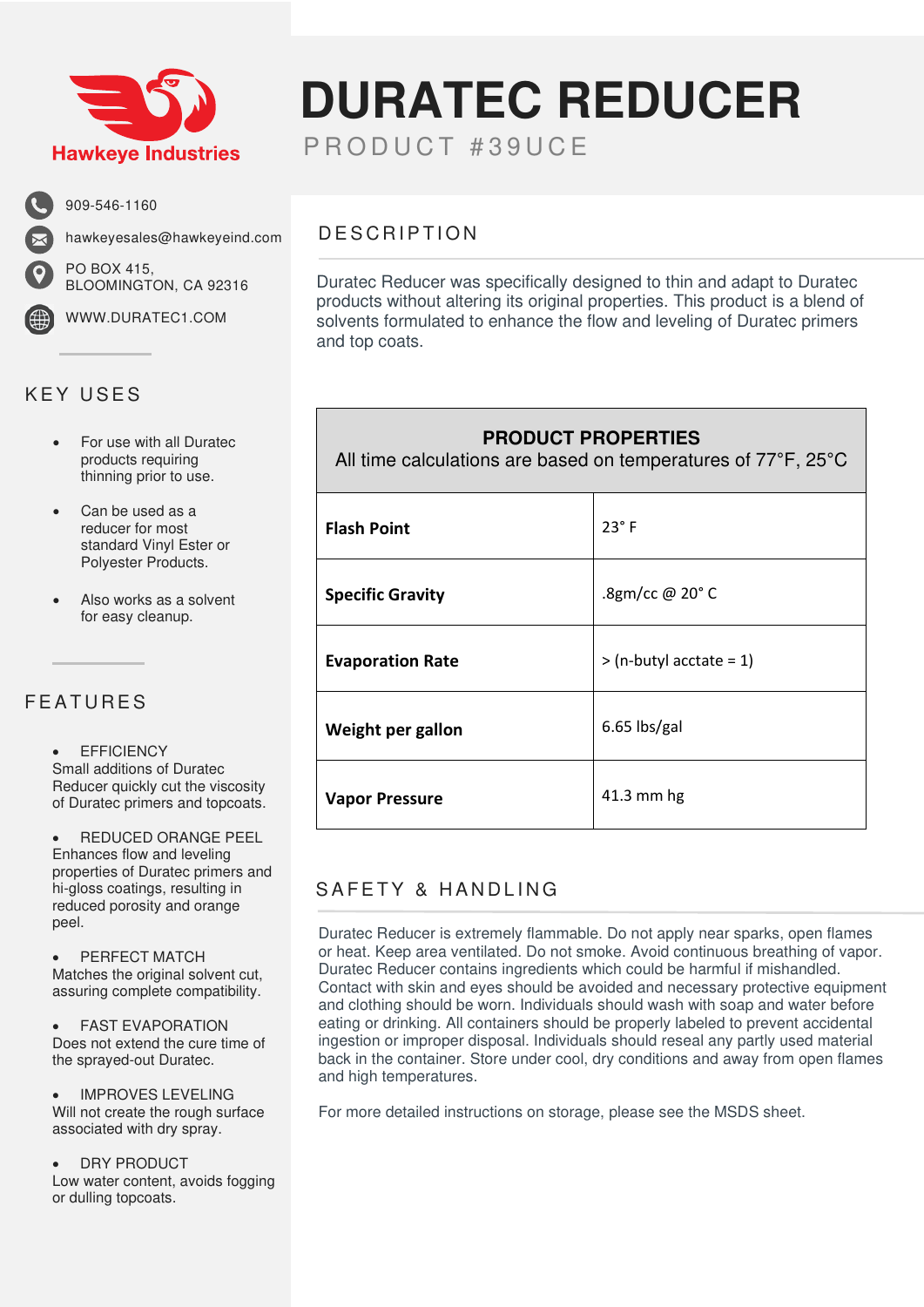

909-546-1160

PO BOX 415,

hawkeyesales@hawkeyeind.com

BLOOMINGTON, CA 92316

WWW.DURATEC1.COM

# KEY USES

- For use with all Duratec products requiring thinning prior to use.
- Can be used as a reducer for most standard Vinyl Ester or Polyester Products.
- Also works as a solvent for easy cleanup.

#### FEATURES

**FFFICIENCY** Small additions of Duratec Reducer quickly cut the viscosity

• REDUCED ORANGE PEEL Enhances flow and leveling properties of Duratec primers and hi-gloss coatings, resulting in reduced porosity and orange peel.

of Duratec primers and topcoats.

PERFECT MATCH Matches the original solvent cut, assuring complete compatibility.

• FAST EVAPORATION Does not extend the cure time of the sprayed-out Duratec.

• IMPROVES LEVELING Will not create the rough surface associated with dry spray.

DRY PRODUCT Low water content, avoids fogging or dulling topcoats.

# **DURATEC REDUCER**

PRODUCT #39UCE

### DESCRIPTION

Duratec Reducer was specifically designed to thin and adapt to Duratec products without altering its original properties. This product is a blend of solvents formulated to enhance the flow and leveling of Duratec primers and top coats.

#### **PRODUCT PROPERTIES**

All time calculations are based on temperatures of 77°F, 25°C

| <b>Flash Point</b>      | $23^\circ$ F              |
|-------------------------|---------------------------|
| <b>Specific Gravity</b> | .8gm/cc @ 20°C            |
| <b>Evaporation Rate</b> | $>$ (n-butyl acctate = 1) |
| Weight per gallon       | 6.65 lbs/gal              |
| <b>Vapor Pressure</b>   | 41.3 mm hg                |

## SAFETY & HANDLING

Duratec Reducer is extremely flammable. Do not apply near sparks, open flames or heat. Keep area ventilated. Do not smoke. Avoid continuous breathing of vapor. Duratec Reducer contains ingredients which could be harmful if mishandled. Contact with skin and eyes should be avoided and necessary protective equipment and clothing should be worn. Individuals should wash with soap and water before eating or drinking. All containers should be properly labeled to prevent accidental ingestion or improper disposal. Individuals should reseal any partly used material back in the container. Store under cool, dry conditions and away from open flames and high temperatures.

For more detailed instructions on storage, please see the MSDS sheet.